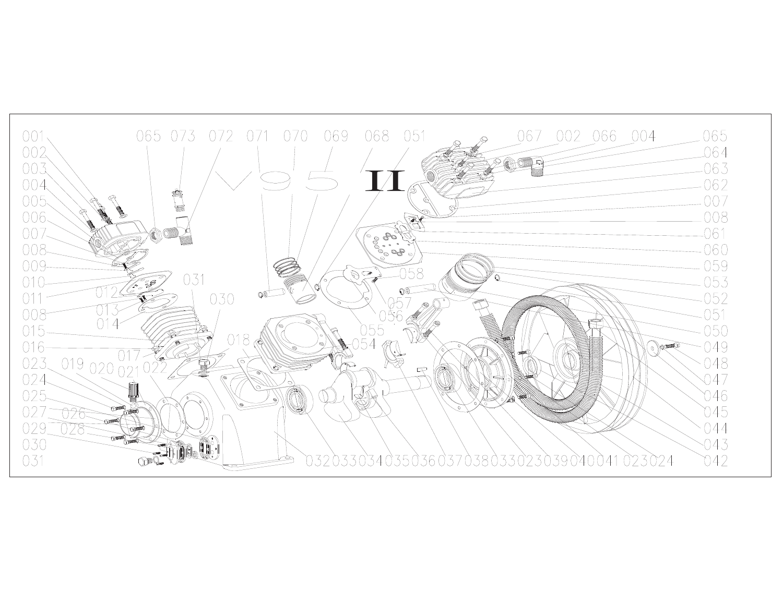